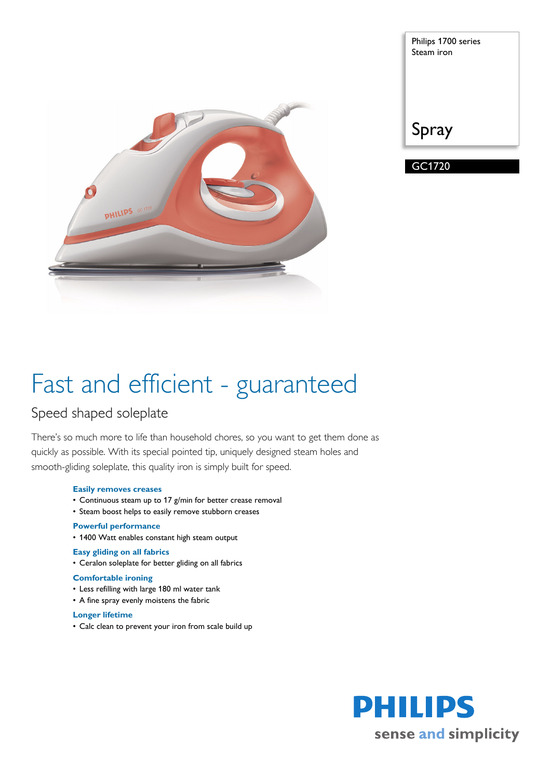

| Philips 1700 series<br>Steam iron |
|-----------------------------------|
| Spray                             |

GC1720

# Fast and efficient - guaranteed

### Speed shaped soleplate

There's so much more to life than household chores, so you want to get them done as quickly as possible. With its special pointed tip, uniquely designed steam holes and smooth-gliding soleplate, this quality iron is simply built for speed.

#### **Easily removes creases**

- Continuous steam up to 17 g/min for better crease removal
- Steam boost helps to easily remove stubborn creases

#### **Powerful performance**

• 1400 Watt enables constant high steam output

#### **Easy gliding on all fabrics**

• Ceralon soleplate for better gliding on all fabrics

#### **Comfortable ironing**

- Less refilling with large 180 ml water tank
- A fine spray evenly moistens the fabric

#### **Longer lifetime**

• Calc clean to prevent your iron from scale build up